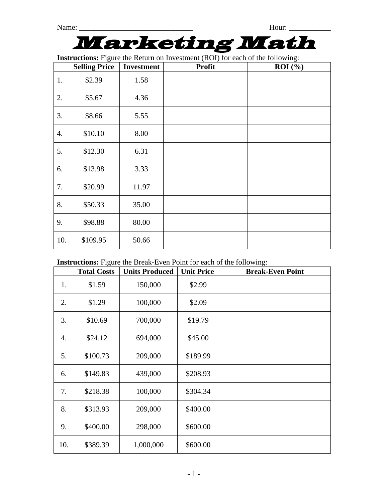## Marketing Math

**Instructions:** Figure the Return on Investment (ROI) for each of the following:

|     | <b>Selling Price</b> | <b>Investment</b> | <b>Profit</b> | ROI (%) |
|-----|----------------------|-------------------|---------------|---------|
| 1.  | \$2.39               | 1.58              |               |         |
| 2.  | \$5.67               | 4.36              |               |         |
| 3.  | \$8.66               | 5.55              |               |         |
| 4.  | \$10.10              | 8.00              |               |         |
| 5.  | \$12.30              | 6.31              |               |         |
| 6.  | \$13.98              | 3.33              |               |         |
| 7.  | \$20.99              | 11.97             |               |         |
| 8.  | \$50.33              | 35.00             |               |         |
| 9.  | \$98.88              | 80.00             |               |         |
| 10. | \$109.95             | 50.66             |               |         |

## **Instructions:** Figure the Break-Even Point for each of the following:

|     | <b>Total Costs</b> | <b>Units Produced</b> | <b>Unit Price</b> | <b>Break-Even Point</b> |
|-----|--------------------|-----------------------|-------------------|-------------------------|
| 1.  | \$1.59             | 150,000               | \$2.99            |                         |
| 2.  | \$1.29             | 100,000               | \$2.09            |                         |
| 3.  | \$10.69            | 700,000               | \$19.79           |                         |
| 4.  | \$24.12            | 694,000               | \$45.00           |                         |
| 5.  | \$100.73           | 209,000               | \$189.99          |                         |
| 6.  | \$149.83           | 439,000               | \$208.93          |                         |
| 7.  | \$218.38           | 100,000               | \$304.34          |                         |
| 8.  | \$313.93           | 209,000               | \$400.00          |                         |
| 9.  | \$400.00           | 298,000               | \$600.00          |                         |
| 10. | \$389.39           | 1,000,000             | \$600.00          |                         |